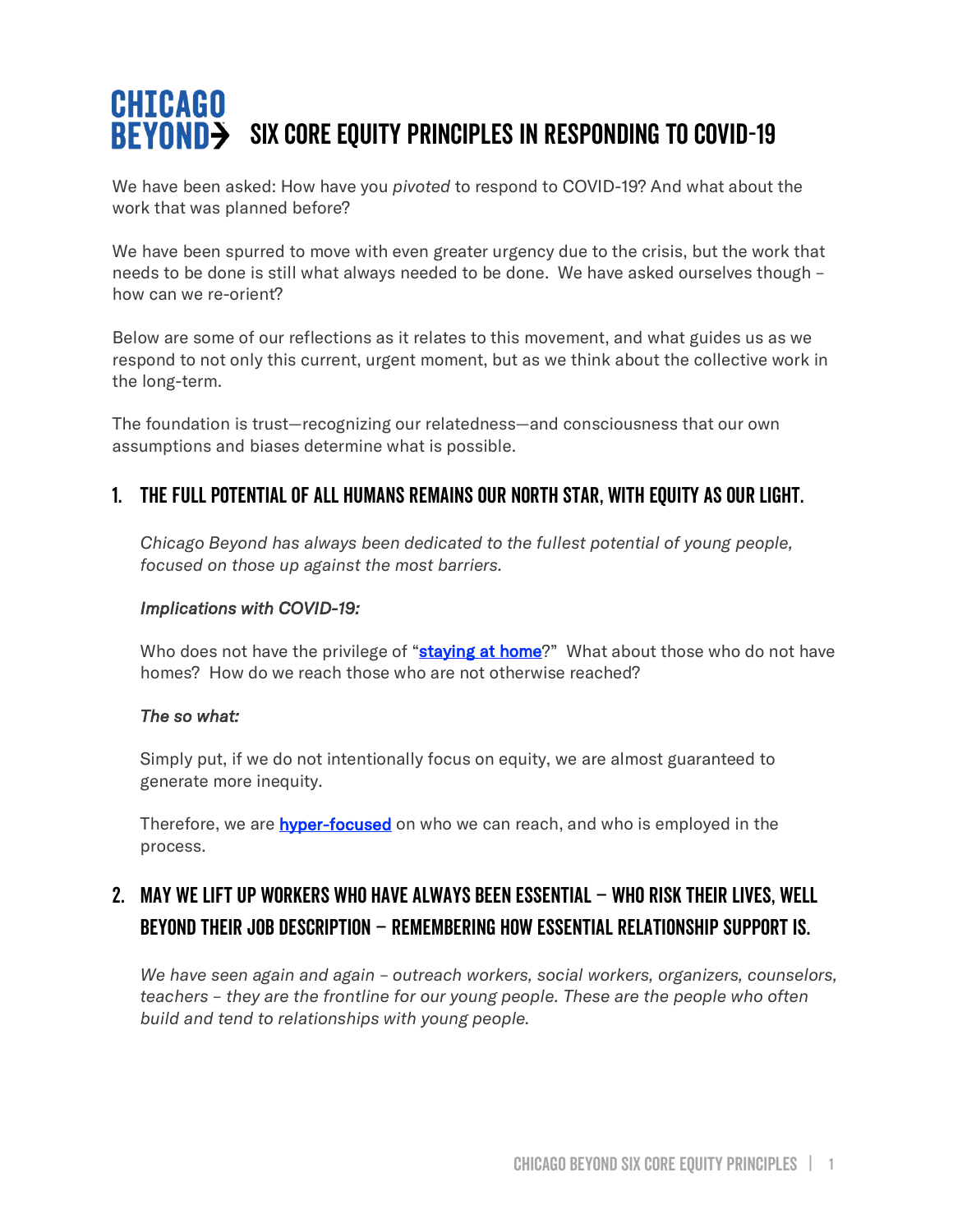# **CHICAGO BEYOND>** SIX CORE EQUITY PRINCIPLES IN RESPONDING TO COVID-19

We have been asked: How have you *pivoted* to respond to COVID-19? And what about the work that was planned before?

We have been spurred to move with even greater urgency due to the crisis, but the work that needs to be done is still what always needed to be done. We have asked ourselves though – how can we re-orient?

Below are some of our reflections as it relates to this movement, and what guides us as we respond to not only this current, urgent moment, but as we think about the collective work in the long-term.

The foundation is trust—recognizing our relatedness—and consciousness that our own assumptions and biases determine what is possible.

### 1. The full potential of all humans remains our north star, with equity as our light.

*Chicago Beyond has always been dedicated to the fullest potential of young people, focused on those up against the most barriers.*

### *Implications with COVID-19:*

Who does not have the privilege of "[staying at home](https://www.nytimes.com/2020/04/05/opinion/coronavirus-social-distancing.html)?" What about those who do not have homes? How do we reach those who are not otherwise reached?

### *The so what:*

Simply put, if we do not intentionally focus on equity, we are almost guaranteed to generate more inequity.

Therefore, we are **[hyper-focused](https://chicagobeyond.org/goingbeyond/)** on who we can reach, and who is employed in the process.

# 2. May we lift up workers who have always been essential – who risk their lives, well beyond their job description – remembering how essential relationship support is.

*We have seen again and again – outreach workers, social workers, organizers, counselors, teachers – they are the frontline for our young people. These are the people who often build and tend to relationships with young people.*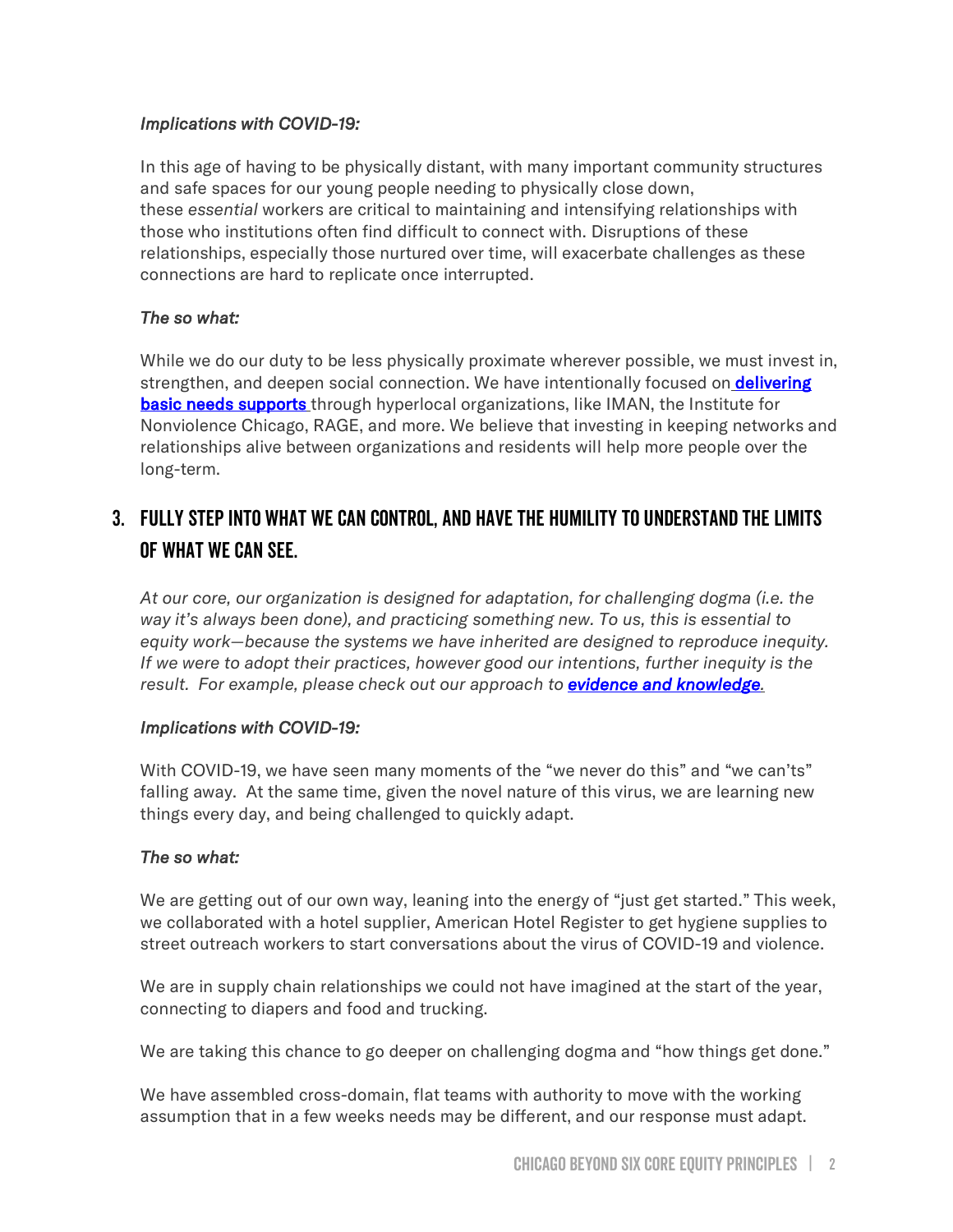### *Implications with COVID-19:*

In this age of having to be physically distant, with many important community structures and safe spaces for our young people needing to physically close down, these *essential* workers are critical to maintaining and intensifying relationships with those who institutions often find difficult to connect with. Disruptions of these relationships, especially those nurtured over time, will exacerbate challenges as these connections are hard to replicate once interrupted.

### *The so what:*

While we do our duty to be less physically proximate wherever possible, we must invest in, strengthen, and deepen social connection. We have intentionally focused on **delivering [basic needs supports](https://www.chicagotribune.com/coronavirus/ct-life-coronavirus-food-insecurity-tt-20200403-20200403-ytanbm6j75e2fhjitctqhgljay-story.html)** through hyperlocal organizations, like IMAN, the Institute for Nonviolence Chicago, RAGE, and more. We believe that investing in keeping networks and relationships alive between organizations and residents will help more people over the long-term.

### 3. Fully step into what we can control, and have the humility to understand the limits of what we can see.

*At our core, our organization is designed for adaptation, for challenging dogma (i.e. the way it's always been done), and practicing something new. To us, this is essential to equity work—because the systems we have inherited are designed to reproduce inequity. If we were to adopt their practices, however good our intentions, further inequity is the result. For example, please check out our approach to [evidence and knowledge](https://chicagobeyond.org/researchequity/).*

### *Implications with COVID-19:*

With COVID-19, we have seen many moments of the "we never do this" and "we can'ts" falling away. At the same time, given the novel nature of this virus, we are learning new things every day, and being challenged to quickly adapt.

### *The so what:*

We are getting out of our own way, leaning into the energy of "just get started." This week, we collaborated with a hotel supplier, American Hotel Register to get hygiene supplies to street outreach workers to start conversations about the virus of COVID-19 and violence.

We are in supply chain relationships we could not have imagined at the start of the year, connecting to diapers and food and trucking.

We are taking this chance to go deeper on challenging dogma and "how things get done."

We have assembled cross-domain, flat teams with authority to move with the working assumption that in a few weeks needs may be different, and our response must adapt.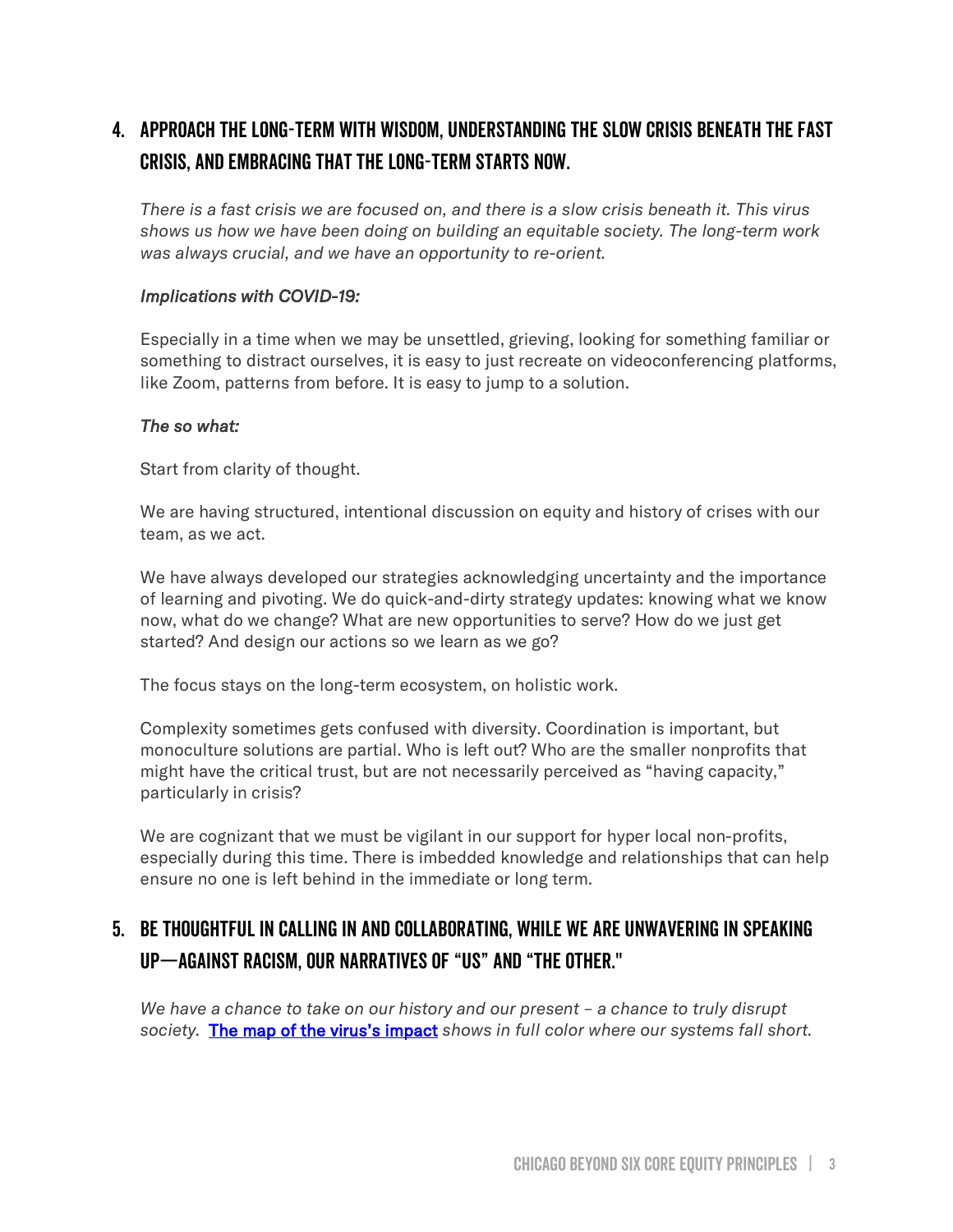# 4. Approach the long-term with wisdom, understanding the slow crisis beneath the fast crisis, and embracing that the long-term starts now.

*There is a fast crisis we are focused on, and there is a slow crisis beneath it. This virus shows us how we have been doing on building an equitable society. The long-term work was always crucial, and we have an opportunity to re-orient.*

### *Implications with COVID-19:*

Especially in a time when we may be unsettled, grieving, looking for something familiar or something to distract ourselves, it is easy to just recreate on videoconferencing platforms, like Zoom, patterns from before. It is easy to jump to a solution.

#### *The so what:*

Start from clarity of thought.

We are having structured, intentional discussion on equity and history of crises with our team, as we act.

We have always developed our strategies acknowledging uncertainty and the importance of learning and pivoting. We do quick-and-dirty strategy updates: knowing what we know now, what do we change? What are new opportunities to serve? How do we just get started? And design our actions so we learn as we go?

The focus stays on the long-term ecosystem, on holistic work.

Complexity sometimes gets confused with diversity. Coordination is important, but monoculture solutions are partial. Who is left out? Who are the smaller nonprofits that might have the critical trust, but are not necessarily perceived as "having capacity," particularly in crisis?

We are cognizant that we must be vigilant in our support for hyper local non-profits, especially during this time. There is imbedded knowledge and relationships that can help ensure no one is left behind in the immediate or long term.

### 5. Be thoughtful in calling in and collaborating, while we are unwavering in speaking up—against racism, our narratives of "us" and "the other."

*We have a chance to take on our history and our present – a chance to truly disrupt society.* [The map of the virus's impact](https://chicagobeyond.org/2020/04/10/theredlines/) *shows in full color where our systems fall short.*